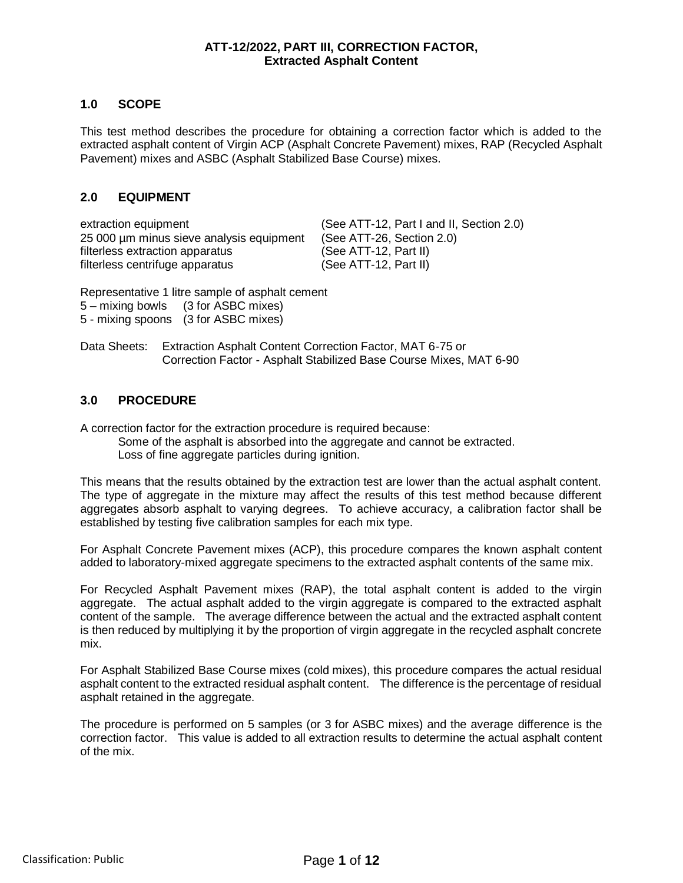#### **ATT-12/2022, PART III, CORRECTION FACTOR, Extracted Asphalt Content**

#### **1.0 SCOPE**

This test method describes the procedure for obtaining a correction factor which is added to the extracted asphalt content of Virgin ACP (Asphalt Concrete Pavement) mixes, RAP (Recycled Asphalt Pavement) mixes and ASBC (Asphalt Stabilized Base Course) mixes.

#### **2.0 EQUIPMENT**

extraction equipment (See ATT-12, Part I and II, Section 2.0) 25 000 µm minus sieve analysis equipment (See ATT-26, Section 2.0)<br>filterless extraction apparatus (See ATT-12, Part II) filterless extraction apparatus filterless centrifuge apparatus (See ATT-12, Part II)

Representative 1 litre sample of asphalt cement 5 – mixing bowls (3 for ASBC mixes) 5 - mixing spoons (3 for ASBC mixes)

Data Sheets: Extraction Asphalt Content Correction Factor, MAT 6-75 or Correction Factor - Asphalt Stabilized Base Course Mixes, MAT 6-90

#### **3.0 PROCEDURE**

A correction factor for the extraction procedure is required because:

Some of the asphalt is absorbed into the aggregate and cannot be extracted. Loss of fine aggregate particles during ignition.

This means that the results obtained by the extraction test are lower than the actual asphalt content. The type of aggregate in the mixture may affect the results of this test method because different aggregates absorb asphalt to varying degrees. To achieve accuracy, a calibration factor shall be established by testing five calibration samples for each mix type.

For Asphalt Concrete Pavement mixes (ACP), this procedure compares the known asphalt content added to laboratory-mixed aggregate specimens to the extracted asphalt contents of the same mix.

For Recycled Asphalt Pavement mixes (RAP), the total asphalt content is added to the virgin aggregate. The actual asphalt added to the virgin aggregate is compared to the extracted asphalt content of the sample. The average difference between the actual and the extracted asphalt content is then reduced by multiplying it by the proportion of virgin aggregate in the recycled asphalt concrete mix.

For Asphalt Stabilized Base Course mixes (cold mixes), this procedure compares the actual residual asphalt content to the extracted residual asphalt content. The difference is the percentage of residual asphalt retained in the aggregate.

The procedure is performed on 5 samples (or 3 for ASBC mixes) and the average difference is the correction factor. This value is added to all extraction results to determine the actual asphalt content of the mix.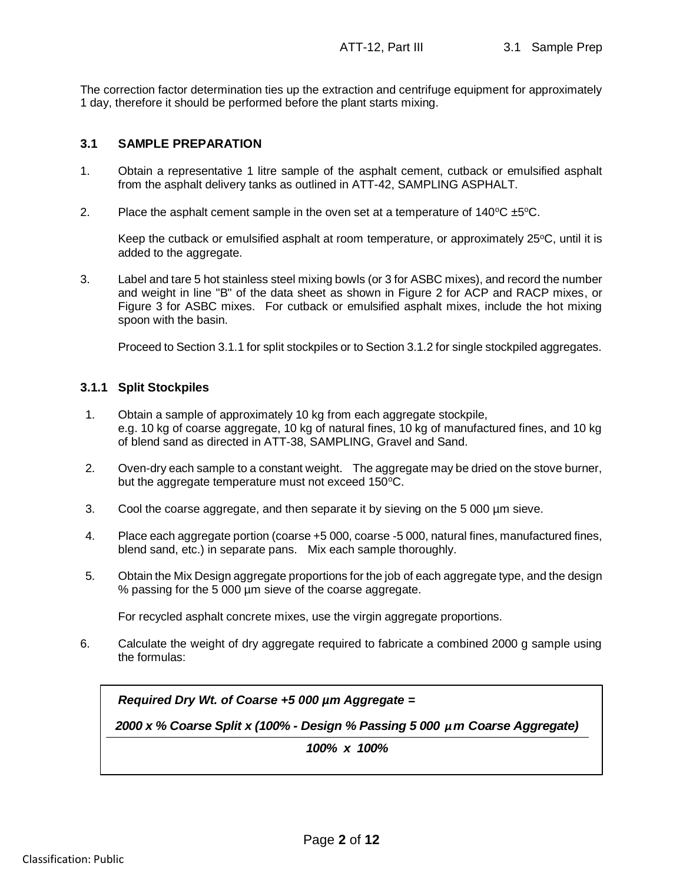The correction factor determination ties up the extraction and centrifuge equipment for approximately 1 day, therefore it should be performed before the plant starts mixing.

#### **3.1 SAMPLE PREPARATION**

- 1. Obtain a representative 1 litre sample of the asphalt cement, cutback or emulsified asphalt from the asphalt delivery tanks as outlined in ATT-42, SAMPLING ASPHALT.
- 2. Place the asphalt cement sample in the oven set at a temperature of  $140^{\circ}C \pm 5^{\circ}C$ .

Keep the cutback or emulsified asphalt at room temperature, or approximately  $25^{\circ}$ C, until it is added to the aggregate.

3. Label and tare 5 hot stainless steel mixing bowls (or 3 for ASBC mixes), and record the number and weight in line "B" of the data sheet as shown in Figure 2 for ACP and RACP mixes, or Figure 3 for ASBC mixes. For cutback or emulsified asphalt mixes, include the hot mixing spoon with the basin.

Proceed to Section 3.1.1 for split stockpiles or to Section 3.1.2 for single stockpiled aggregates.

#### **3.1.1 Split Stockpiles**

- 1. Obtain a sample of approximately 10 kg from each aggregate stockpile, e.g. 10 kg of coarse aggregate, 10 kg of natural fines, 10 kg of manufactured fines, and 10 kg of blend sand as directed in ATT-38, SAMPLING, Gravel and Sand.
- 2. Oven-dry each sample to a constant weight. The aggregate may be dried on the stove burner, but the aggregate temperature must not exceed  $150^{\circ}$ C.
- 3. Cool the coarse aggregate, and then separate it by sieving on the 5 000 µm sieve.
- 4. Place each aggregate portion (coarse +5 000, coarse -5 000, natural fines, manufactured fines, blend sand, etc.) in separate pans. Mix each sample thoroughly.
- 5. Obtain the Mix Design aggregate proportions for the job of each aggregate type, and the design % passing for the 5 000 µm sieve of the coarse aggregate.

For recycled asphalt concrete mixes, use the virgin aggregate proportions.

6. Calculate the weight of dry aggregate required to fabricate a combined 2000 g sample using the formulas:

*Required Dry Wt. of Coarse +5 000 µm Aggregate =*

*2000 x % Coarse Split x (100% - Design % Passing 5 000 µm Coarse Aggregate)*

*100% x 100%*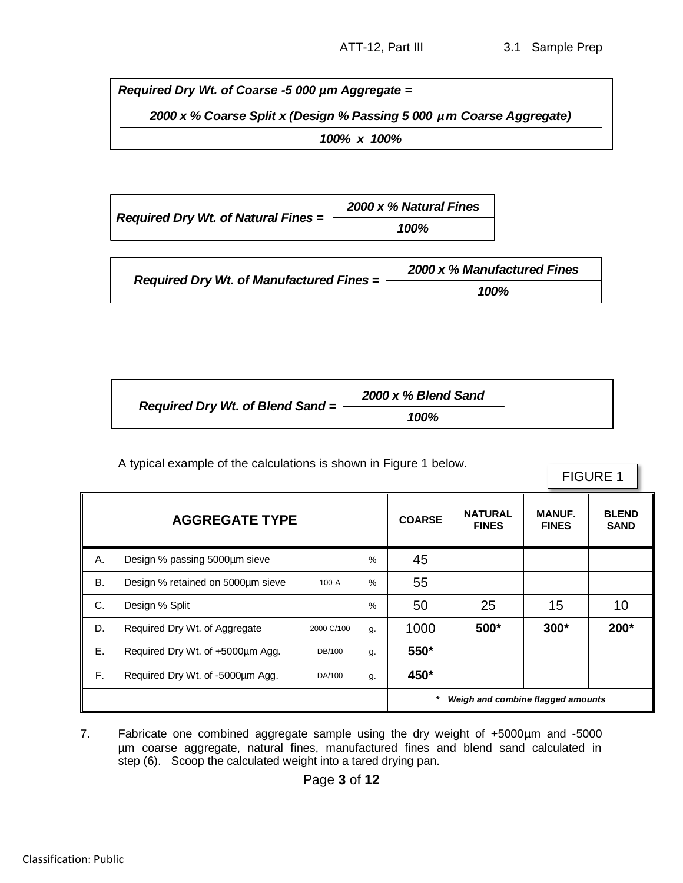*Required Dry Wt. of Coarse -5 000 µm Aggregate =*

*2000 x % Coarse Split x (Design % Passing 5 000 µm Coarse Aggregate)*

*100% x 100%*<br>=  $\frac{2000 \times % \text{Natu}}{100\%}$ *Required Dry Wt. of Natural Fines = 2000 x % Natural Fines*

|                                          | 2000 x % Manufactured Fines |
|------------------------------------------|-----------------------------|
| Required Dry Wt. of Manufactured Fines = | 100%                        |

|                                    | 2000 x % Blend Sand |
|------------------------------------|---------------------|
| Required Dry Wt. of Blend Sand $=$ | 100%                |

A typical example of the calculations is shown in Figure 1 below.

FIGURE 1

| <b>AGGREGATE TYPE</b><br><b>COARSE</b> |                                   |            |      |          | <b>NATURAL</b><br><b>FINES</b>    | <b>MANUF.</b><br><b>FINES</b> | <b>BLEND</b><br><b>SAND</b> |
|----------------------------------------|-----------------------------------|------------|------|----------|-----------------------------------|-------------------------------|-----------------------------|
| А.                                     | Design % passing 5000µm sieve     |            | %    | 45       |                                   |                               |                             |
| B.                                     | Design % retained on 5000um sieve | $100 - A$  | %    | 55       |                                   |                               |                             |
| C.                                     | Design % Split                    |            | $\%$ | 50       | 25                                | 15                            | 10                          |
| D.                                     | Required Dry Wt. of Aggregate     | 2000 C/100 | g.   | 1000     | 500*                              | $300*$                        | 200*                        |
| Ε.                                     | Required Dry Wt. of +5000um Agg.  | DB/100     | g.   | 550*     |                                   |                               |                             |
| F.                                     | Required Dry Wt. of -5000um Agg.  | DA/100     | g.   | 450*     |                                   |                               |                             |
|                                        |                                   |            |      | $^\star$ | Weigh and combine flagged amounts |                               |                             |

7. Fabricate one combined aggregate sample using the dry weight of +5000µm and -5000 µm coarse aggregate, natural fines, manufactured fines and blend sand calculated in step (6). Scoop the calculated weight into a tared drying pan.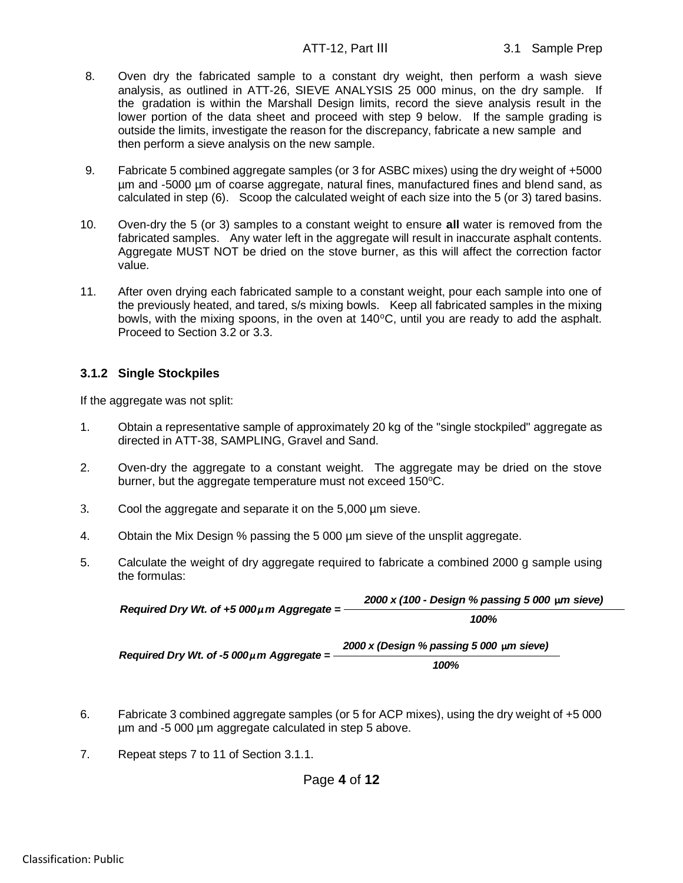- 8. Oven dry the fabricated sample to a constant dry weight, then perform a wash sieve analysis, as outlined in ATT-26, SIEVE ANALYSIS 25 000 minus, on the dry sample. If the gradation is within the Marshall Design limits, record the sieve analysis result in the lower portion of the data sheet and proceed with step 9 below. If the sample grading is outside the limits, investigate the reason for the discrepancy, fabricate a new sample and then perform a sieve analysis on the new sample.
- 9. Fabricate 5 combined aggregate samples (or 3 for ASBC mixes) using the dry weight of +5000 µm and -5000 µm of coarse aggregate, natural fines, manufactured fines and blend sand, as calculated in step (6). Scoop the calculated weight of each size into the 5 (or 3) tared basins.
- 10. Oven-dry the 5 (or 3) samples to a constant weight to ensure **all** water is removed from the fabricated samples. Any water left in the aggregate will result in inaccurate asphalt contents. Aggregate MUST NOT be dried on the stove burner, as this will affect the correction factor value.
- 11. After oven drying each fabricated sample to a constant weight, pour each sample into one of the previously heated, and tared, s/s mixing bowls. Keep all fabricated samples in the mixing bowls, with the mixing spoons, in the oven at  $140^{\circ}$ C, until you are ready to add the asphalt. Proceed to Section 3.2 or 3.3.

#### **3.1.2 Single Stockpiles**

If the aggregate was not split:

- 1. Obtain a representative sample of approximately 20 kg of the "single stockpiled" aggregate as directed in ATT-38, SAMPLING, Gravel and Sand.
- 2. Oven-dry the aggregate to a constant weight. The aggregate may be dried on the stove burner, but the aggregate temperature must not exceed 150°C.
- 3. Cool the aggregate and separate it on the 5,000 µm sieve.
- 4. Obtain the Mix Design % passing the 5 000 µm sieve of the unsplit aggregate.
- 5. Calculate the weight of dry aggregate required to fabricate a combined 2000 g sample using the formulas:

| Required Dry Wt. of $+5000\mu$ m Aggregate =   | 2000 x (100 - Design % passing 5 000 $\mu$ m sieve) |
|------------------------------------------------|-----------------------------------------------------|
|                                                | 100%                                                |
| Required Dry Wt. of -5 000 $\mu$ m Aggregate = | 2000 x (Design % passing 5 000 µm sieve)            |
|                                                | 100%                                                |

- 6. Fabricate 3 combined aggregate samples (or 5 for ACP mixes), using the dry weight of +5 000 µm and -5 000 µm aggregate calculated in step 5 above.
- 7. Repeat steps 7 to 11 of Section 3.1.1.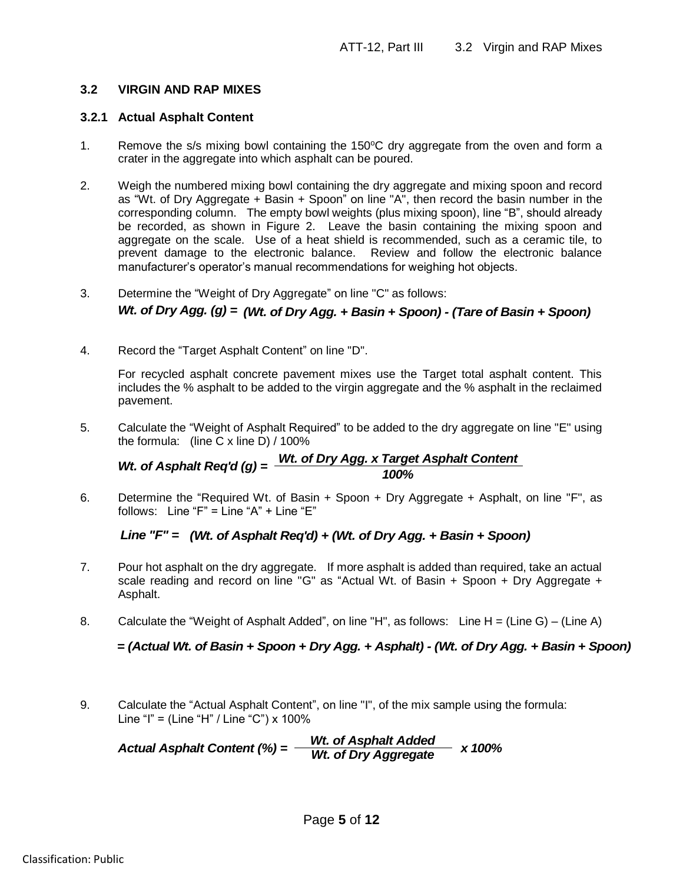### **3.2 VIRGIN AND RAP MIXES**

### **3.2.1 Actual Asphalt Content**

- 1. Remove the s/s mixing bowl containing the 150 $\degree$ C dry aggregate from the oven and form a crater in the aggregate into which asphalt can be poured.
- 2. Weigh the numbered mixing bowl containing the dry aggregate and mixing spoon and record as "Wt. of Dry Aggregate + Basin + Spoon" on line "A", then record the basin number in the corresponding column. The empty bowl weights (plus mixing spoon), line "B", should already be recorded, as shown in Figure 2. Leave the basin containing the mixing spoon and aggregate on the scale. Use of a heat shield is recommended, such as a ceramic tile, to prevent damage to the electronic balance. Review and follow the electronic balance manufacturer's operator's manual recommendations for weighing hot objects.
- 3. Determine the "Weight of Dry Aggregate" on line "C" as follows:

4. Record the "Target Asphalt Content" on line "D".

For recycled asphalt concrete pavement mixes use the Target total asphalt content. This includes the % asphalt to be added to the virgin aggregate and the % asphalt in the reclaimed pavement. *Wt. of Dry Agg.* (g) =  $(Wt.$  of *Dry Agg.* + *Basin* + *Spoon)* - (*Tare of Basin* + *Spoon)*<br>
Record the "Target Asphalt Content" on line "D".<br>
For recycled asphalt concrete pavement mixes use the Target total asphalt c

5. Calculate the "Weight of Asphalt Required" to be added to the dry aggregate on line "E" using the formula: (line C x line D) / 100%

*Wt. of Dry Agg. x Target Asphalt Content*

6. Determine the "Required Wt. of Basin + Spoon + Dry Aggregate + Asphalt, on line "F", as follows: Line "F" = Line "A" + Line "E"

- 7. Pour hot asphalt on the dry aggregate. If more asphalt is added than required, take an actual scale reading and record on line "G" as "Actual Wt. of Basin + Spoon + Dry Aggregate + Asphalt. *Line "F"* = (*Wt. of Asphalt Req'd)* + (*Wt. of Dry Agg.* + *Basin* + *Spoon)*<br>
Pour hot asphalt on the dry aggregate. If more asphalt is added than required, take an actual<br>
scale reading and record on line "G" as "Actu
- 8. Calculate the "Weight of Asphalt Added", on line "H", as follows: Line H = (Line G) (Line A)

9. Calculate the "Actual Asphalt Content", on line "I", of the mix sample using the formula: Line "I" = (Line "H" / Line "C") x 100%

*Actual Asphalt Content (%) = Wt. of Asphalt Added*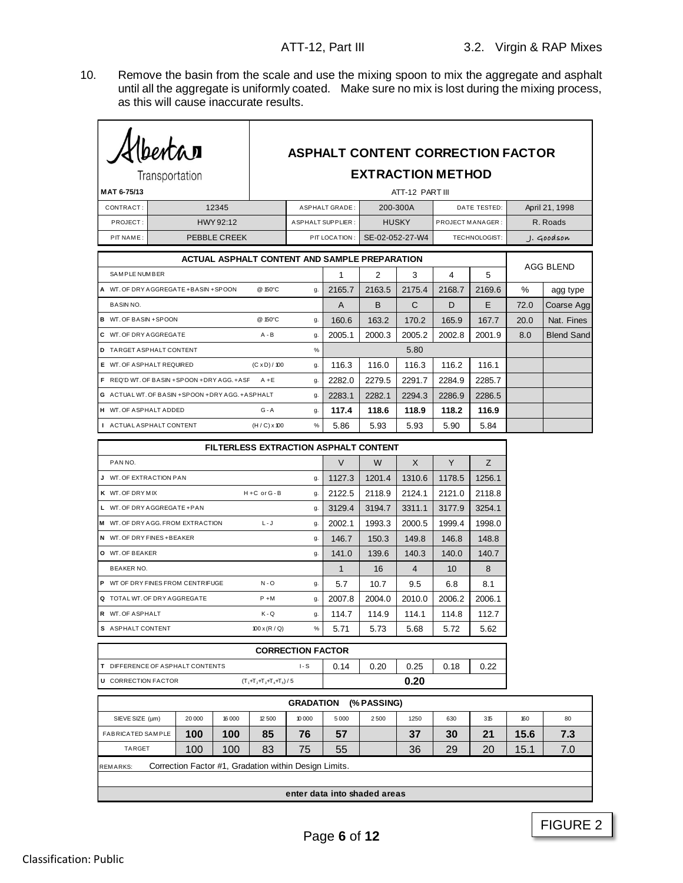10. Remove the basin from the scale and use the mixing spoon to mix the aggregate and asphalt until all the aggregate is uniformly coated. Make sure no mix is lost during the mixing process, as this will cause inaccurate results.

| Klbertar<br><b>ASPHALT CONTENT CORRECTION FACTOR</b> |  |        |              |                                                       |                              |                       |             |                          |                  |               |      |                   |  |
|------------------------------------------------------|--|--------|--------------|-------------------------------------------------------|------------------------------|-----------------------|-------------|--------------------------|------------------|---------------|------|-------------------|--|
| Transportation                                       |  |        |              |                                                       |                              |                       |             | <b>EXTRACTION METHOD</b> |                  |               |      |                   |  |
| MAT 6-75/13                                          |  |        |              |                                                       |                              |                       |             | ATT-12 PART III          |                  |               |      |                   |  |
| CONTRACT:                                            |  |        | 12345        |                                                       |                              | <b>ASPHALT GRADE:</b> |             | 200-300A                 | DATE TESTED:     |               |      | April 21, 1998    |  |
| PROJECT:                                             |  |        | HWY 92:12    |                                                       |                              | ASPHALT SUPPLIER:     |             | <b>HUSKY</b>             | PROJECT MANAGER: |               |      | R. Roads          |  |
| PIT NAME:                                            |  |        | PEBBLE CREEK |                                                       |                              | PIT LOCATION:         |             | SE-02-052-27-W4          |                  | TECHNOLOGIST: |      | . J. Goodson      |  |
|                                                      |  |        |              | ACTUAL ASPHALT CONTENT AND SAMPLE PREPARATION         |                              |                       |             |                          |                  |               |      |                   |  |
| SAMPLE NUMBER                                        |  |        |              |                                                       |                              | $\mathbf{1}$          | 2           | 3                        | 4                | 5             |      | <b>AGG BLEND</b>  |  |
| A WT. OF DRY AGGREGATE + BASIN + SPOON               |  |        |              | @ 150°C                                               | g.                           | 2165.7                | 2163.5      | 2175.4                   | 2168.7           | 2169.6        | %    | agg type          |  |
| <b>BASINNO.</b>                                      |  |        |              |                                                       |                              | A                     | B           | C                        | D                | E.            | 72.0 | Coarse Agg        |  |
| <b>B</b> WT. OF BASIN +SPOON                         |  |        |              | @ 150°C                                               | g.                           | 160.6                 | 163.2       | 170.2                    | 165.9            | 167.7         | 20.0 | Nat. Fines        |  |
| C WT. OF DRY AGGREGATE                               |  |        |              | $A - B$                                               | g.                           | 2005.1                | 2000.3      | 2005.2                   | 2002.8           | 2001.9        | 8.0  | <b>Blend Sand</b> |  |
| D TARGET ASPHALT CONTENT                             |  |        |              |                                                       | %                            |                       |             | 5.80                     |                  |               |      |                   |  |
| E WT. OF ASPHALT REQUIRED                            |  |        |              | $(C \times D) / 100$                                  | g.                           | 116.3                 | 116.0       | 116.3                    | 116.2            | 116.1         |      |                   |  |
| F REQ'D WT. OF BASIN + SPOON + DRY AGG. + A SF       |  |        |              | $A + E$                                               | g.                           | 2282.0                | 2279.5      | 2291.7                   | 2284.9           | 2285.7        |      |                   |  |
| G ACTUAL WT. OF BASIN + SPOON + DRY AGG. + ASPHALT   |  |        |              |                                                       | g.                           | 2283.1                | 2282.1      | 2294.3                   | 2286.9           | 2286.5        |      |                   |  |
| H WT. OF ASPHALT ADDED                               |  |        |              | $G - A$                                               | g.                           | 117.4                 | 118.6       | 118.9                    | 118.2            | 116.9         |      |                   |  |
| I ACTUAL ASPHALT CONTENT                             |  |        |              | $(H/C) \times 100$                                    | $\%$                         | 5.86                  | 5.93        | 5.93                     | 5.90             | 5.84          |      |                   |  |
|                                                      |  |        |              | <b>FILTERLESS EXTRACTION ASPHALT CONTENT</b>          |                              |                       |             |                          |                  |               |      |                   |  |
| PAN NO.                                              |  |        |              |                                                       |                              | $\vee$                | W           | X                        | Y                | Z             |      |                   |  |
| J WT. OF EXTRACTION PAN                              |  |        |              |                                                       | g.                           | 1127.3                | 1201.4      | 1310.6                   | 1178.5           | 1256.1        |      |                   |  |
| K WT. OF DRY MIX                                     |  |        |              | H+C or G-B                                            | g.                           | 2122.5                | 2118.9      | 2124.1                   | 2121.0           | 2118.8        |      |                   |  |
| L WT. OF DRY AGGREGATE +PAN                          |  |        |              |                                                       | g.                           | 3129.4                | 3194.7      | 3311.1                   | 3177.9           | 3254.1        |      |                   |  |
| M WT. OF DRY AGG. FROM EXTRACTION                    |  |        |              | $L - J$                                               | g.                           | 2002.1                | 1993.3      | 2000.5                   | 1999.4           | 1998.0        |      |                   |  |
| N WT. OF DRY FINES + BEAKER                          |  |        |              |                                                       | g.                           | 146.7                 | 150.3       | 149.8                    | 146.8            | 148.8         |      |                   |  |
| O WT. OF BEAKER                                      |  |        |              |                                                       | g.                           | 141.0                 | 139.6       | 140.3                    | 140.0            | 140.7         |      |                   |  |
| <b>BEAKER NO.</b>                                    |  |        |              |                                                       |                              | $\mathbf{1}$          | 16          | $\overline{4}$           | 10               | 8             |      |                   |  |
| P WT OF DRY FINES FROM CENTRIFUGE                    |  |        |              | $N - O$                                               | g.                           | 5.7                   | 10.7        | 9.5                      | 6.8              | 8.1           |      |                   |  |
| Q TOTAL WT. OF DRY AGGREGATE                         |  |        |              | $P + M$                                               | g.                           | 2007.8                | 2004.0      | 2010.0                   | 2006.2           | 2006.1        |      |                   |  |
| R WT. OF ASPHALT                                     |  |        |              | K-Q                                                   | g.                           | 114.7                 | 114.9       | 114.1                    | 114.8            | 112.7         |      |                   |  |
| S ASPHALT CONTENT                                    |  |        |              | $100 \times (R / Q)$                                  | $\%$                         | 5.71                  | 5.73        | 5.68                     | 5.72             | 5.62          |      |                   |  |
|                                                      |  |        |              |                                                       | <b>CORRECTION FACTOR</b>     |                       |             |                          |                  |               |      |                   |  |
| T DIFFERENCE OF ASPHALT CONTENTS                     |  |        |              |                                                       | $I-S$                        | 0.14                  | 0.20        | 0.25                     | 0.18             | 0.22          |      |                   |  |
| <b>U</b> CORRECTION FACTOR                           |  |        |              | $(T_1+T_2+T_3+T_4+T_6)/5$                             |                              |                       |             | 0.20                     |                  |               |      |                   |  |
|                                                      |  |        |              |                                                       |                              |                       |             |                          |                  |               |      |                   |  |
|                                                      |  |        |              |                                                       | <b>GRADATION</b>             |                       | (% PASSING) |                          |                  |               |      |                   |  |
| SIEVE SIZE (µm)                                      |  | 20 000 | 16 000       | 12 500                                                | 10 000                       | 5 0 0 0               | 2500        | 1250                     | 630              | 315           | 160  | 80                |  |
| FABRICATED SAMPLE<br>TARGET                          |  | 100    | 100          | 85                                                    | 76                           | 57                    |             | 37                       | 30<br>29         | 21            | 15.6 | 7.3               |  |
|                                                      |  | 100    | 100          | 83                                                    | 75                           | 55                    |             | 36                       |                  | 20            | 15.1 | 7.0               |  |
| REMARKS:                                             |  |        |              | Correction Factor #1, Gradation within Design Limits. |                              |                       |             |                          |                  |               |      |                   |  |
|                                                      |  |        |              |                                                       | enter data into shaded areas |                       |             |                          |                  |               |      |                   |  |
|                                                      |  |        |              |                                                       |                              |                       |             |                          |                  |               |      |                   |  |

 $\mathbf{A}$ 

 $\overline{ }$ 

 $\mathsf{I}$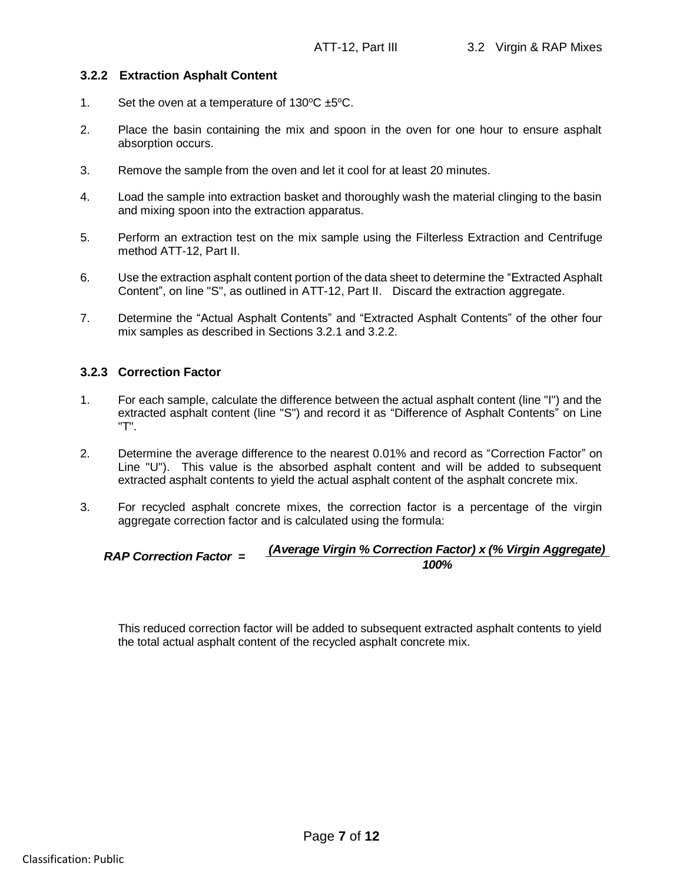#### **3.2.2 Extraction Asphalt Content**

- 1. Set the oven at a temperature of  $130^{\circ}C \pm 5^{\circ}C$ .
- 2. Place the basin containing the mix and spoon in the oven for one hour to ensure asphalt absorption occurs.
- 3. Remove the sample from the oven and let it cool for at least 20 minutes.
- 4. Load the sample into extraction basket and thoroughly wash the material clinging to the basin and mixing spoon into the extraction apparatus.
- 5. Perform an extraction test on the mix sample using the Filterless Extraction and Centrifuge method ATT-12, Part II.
- 6. Use the extraction asphalt content portion of the data sheet to determine the "Extracted Asphalt Content", on line "S", as outlined in ATT-12, Part II. Discard the extraction aggregate.
- 7. Determine the "Actual Asphalt Contents" and "Extracted Asphalt Contents" of the other four mix samples as described in Sections 3.2.1 and 3.2.2.

#### **3.2.3 Correction Factor**

- 1. For each sample, calculate the difference between the actual asphalt content (line "I") and the extracted asphalt content (line "S") and record it as "Difference of Asphalt Contents" on Line "T".
- 2. Determine the average difference to the nearest 0.01% and record as "Correction Factor" on Line "U"). This value is the absorbed asphalt content and will be added to subsequent extracted asphalt contents to yield the actual asphalt content of the asphalt concrete mix.
- 3. For recycled asphalt concrete mixes, the correction factor is a percentage of the virgin aggregate correction factor and is calculated using the formula:

#### *RAP Correction Factor = (Average Virgin % Correction Factor) x (% Virgin Aggregate) 100%*

This reduced correction factor will be added to subsequent extracted asphalt contents to yield the total actual asphalt content of the recycled asphalt concrete mix.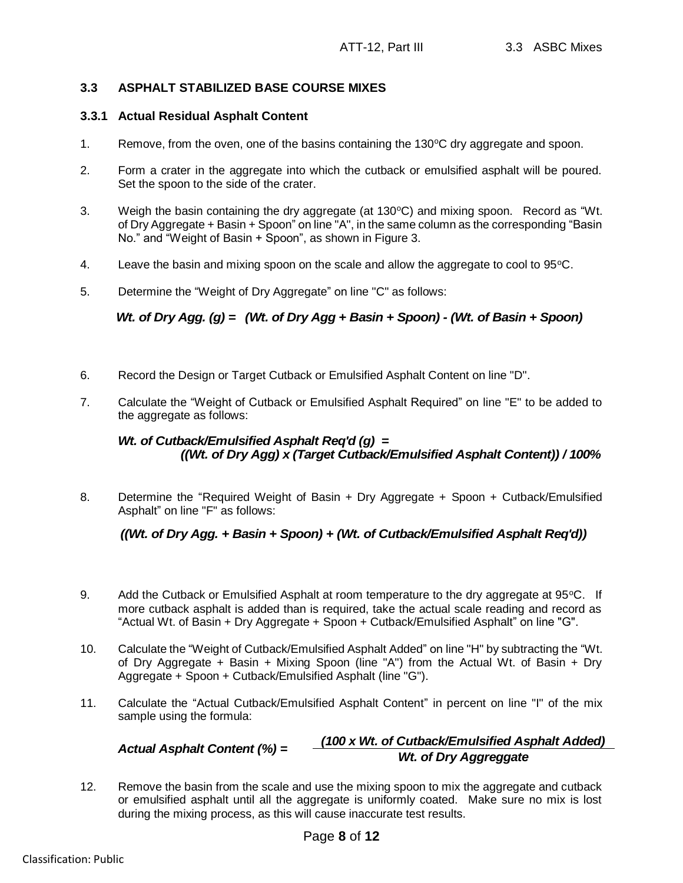#### **3.3 ASPHALT STABILIZED BASE COURSE MIXES**

#### **3.3.1 Actual Residual Asphalt Content**

- 1. Remove, from the oven, one of the basins containing the  $130^{\circ}$ C dry aggregate and spoon.
- 2. Form a crater in the aggregate into which the cutback or emulsified asphalt will be poured. Set the spoon to the side of the crater.
- 3. Weigh the basin containing the dry aggregate (at  $130^{\circ}$ C) and mixing spoon. Record as "Wt. of Dry Aggregate + Basin + Spoon" on line "A", in the same column as the corresponding "Basin No." and "Weight of Basin + Spoon", as shown in Figure 3.
- 4. Leave the basin and mixing spoon on the scale and allow the aggregate to cool to  $95^{\circ}$ C.
- 5. Determine the "Weight of Dry Aggregate" on line "C" as follows:

*Wt. of Dry Agg. (g) = (Wt. of Dry Agg + Basin + Spoon) - (Wt. of Basin + Spoon)*

- 6. Record the Design or Target Cutback or Emulsified Asphalt Content on line "D".
- 7. Calculate the "Weight of Cutback or Emulsified Asphalt Required" on line "E" to be added to the aggregate as follows:

8. Determine the "Required Weight of Basin + Dry Aggregate + Spoon + Cutback/Emulsified Asphalt" on line "F" as follows:

### *((Wt. of Dry Agg. + Basin + Spoon) + (Wt. of Cutback/Emulsified Asphalt Req'd))*

- 9. Add the Cutback or Emulsified Asphalt at room temperature to the dry aggregate at  $95^{\circ}$ C. If more cutback asphalt is added than is required, take the actual scale reading and record as "Actual Wt. of Basin + Dry Aggregate + Spoon + Cutback/Emulsified Asphalt" on line "G".
- 10. Calculate the "Weight of Cutback/Emulsified Asphalt Added" on line "H" by subtracting the "Wt. of Dry Aggregate + Basin + Mixing Spoon (line "A") from the Actual Wt. of Basin + Dry Aggregate + Spoon + Cutback/Emulsified Asphalt (line "G"). *Wt. of Cutback/Emulsified Asphalt Req'd (g)* =  $((Wt.$  of *Dry Agglyx (Target Cutback/Emulsified Asphalt Content)) / 100%*<br>
Determine the "Required Weight of Basin + Dry Aggregate + Spoon + Cutback/Emulsified<br>
Asphalt" on
- 11. Calculate the "Actual Cutback/Emulsified Asphalt Content" in percent on line "I" of the mix sample using the formula:

# *(100 x Wt. of Cutback/Emulsified Asphalt Added)*

12. Remove the basin from the scale and use the mixing spoon to mix the aggregate and cutback or emulsified asphalt until all the aggregate is uniformly coated. Make sure no mix is lost during the mixing process, as this will cause inaccurate test results.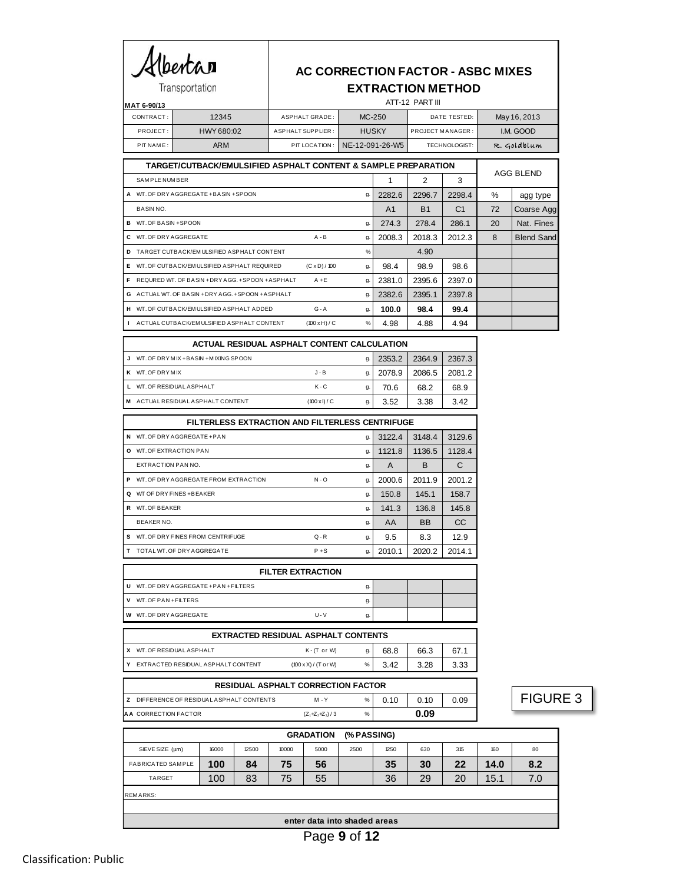# Albertan Transportation

## **AC CORRECTION FACTOR - ASBC MIXES EXTRACTION METHOD**

| MAT 6-90/13 |            | ATT-12 PART III    |                               |                  |              |  |  |  |
|-------------|------------|--------------------|-------------------------------|------------------|--------------|--|--|--|
| CONTRACT:   | 12345      | ASPHALT GRADE:     | $MC-250$                      | DATE TESTED:     | May 16, 2013 |  |  |  |
| PROJECT:    | HWY 680:02 | A SPHALT SUPPLIER: | <b>HUSKY</b>                  | PROJECT MANAGER: | I.M. GOOD    |  |  |  |
| PIT NAME:   | <b>ARM</b> |                    | PIT LOCATION: NE-12-091-26-W5 | TECHNOLOGIST:    | R. Goldblum  |  |  |  |

|    | TARGET/CUTBACK/EMULSIFIED ASPHALT CONTENT & SAMPLE PREPARATION |                      | AGG BLEND |                |           |                |      |                   |
|----|----------------------------------------------------------------|----------------------|-----------|----------------|-----------|----------------|------|-------------------|
|    | <b>SAMPLE NUMBER</b>                                           |                      |           |                | 2         | 3              |      |                   |
|    | A WT. OF DRY AGGREGATE + BASIN + SPOON                         |                      | q.        | 2282.6         | 2296.7    | 2298.4         | $\%$ | agg type          |
|    | BASIN NO.                                                      |                      |           | A <sub>1</sub> | <b>B1</b> | C <sub>1</sub> | 72   | Coarse Agg        |
|    | <b>B</b> WT. OF BASIN + SPOON                                  |                      | g.        | 274.3          | 278.4     | 286.1          | 20   | Nat. Fines        |
|    | C WT. OF DRY AGGREGATE                                         | $A - B$              | g.        | 2008.3         | 2018.3    | 2012.3         | 8    | <b>Blend Sand</b> |
| D. | TARGET CUTBACK/EMULSIFIED ASPHALT CONTENT                      |                      | $\%$      |                | 4.90      |                |      |                   |
|    | E WT. OF CUTBACK/EMULSIFIED ASPHALT REQUIRED                   | $(C \times D) / 100$ | g.        | 98.4           | 98.9      | 98.6           |      |                   |
|    | F REQURED WT. OF BASIN +DRY AGG. +SPOON +ASPHALT               | $A + E$              | g.        | 2381.0         | 2395.6    | 2397.0         |      |                   |
|    | G ACTUAL WT. OF BASIN + DRY AGG. + SPOON + ASPHALT             |                      | g.        | 2382.6         | 2395.1    | 2397.8         |      |                   |
|    | H WT. OF CUTBACK/EM ULSIFIED ASPHALT ADDED                     | $G - A$              | g.        | 100.0          | 98.4      | 99.4           |      |                   |
|    | I ACTUAL CUTBACK/EMULSIFIED ASPHALT CONTENT                    | (100 xH)/C           | %         | 4.98           | 4.88      | 4.94           |      |                   |
|    |                                                                |                      |           |                |           |                |      |                   |

|   | ACTUAL RESIDUAL ASPHALT CONTENT CALCULATION |                      |    |        |        |        |  |  |  |  |  |
|---|---------------------------------------------|----------------------|----|--------|--------|--------|--|--|--|--|--|
|   | WT. OF DRY MIX + BASIN + MIXING SPOON       |                      | g. | 2353.2 | 2364.9 | 2367.3 |  |  |  |  |  |
| ĸ | WT. OF DRY MIX                              | $J - B$              | g. | 2078.9 | 2086.5 | 2081.2 |  |  |  |  |  |
|   | WT. OF RESIDUAL ASPHALT                     | $K - C$              | g. | 70.6   | 68.2   | 68.9   |  |  |  |  |  |
| м | ACTUAL RESIDUAL ASPHALT CONTENT             | $(100 \times I) / C$ | g. | 3.52   | 3.38   | 3.42   |  |  |  |  |  |

|   | <b>FILTERLESS EXTRACTION AND FILTERLESS CENTRIFUGE</b> |    |        |           |               |  |  |  |  |  |  |
|---|--------------------------------------------------------|----|--------|-----------|---------------|--|--|--|--|--|--|
| N | WT. OF DRY AGGREGATE +PAN                              | g. | 3122.4 | 3148.4    | 3129.6        |  |  |  |  |  |  |
| O | WT. OF EXTRACTION PAN                                  | g. | 1121.8 | 1136.5    | 1128.4        |  |  |  |  |  |  |
|   | EXTRACTION PAN NO.                                     | g. | A      | B         | C             |  |  |  |  |  |  |
| P | WT. OF DRY AGGREGATE FROM EXTRACTION<br>$N - Q$        | g. | 2000.6 | 2011.9    | 2001.2        |  |  |  |  |  |  |
| ۵ | WT OF DRY FINES + BEAKER                               | g. | 150.8  | 145.1     | 158.7         |  |  |  |  |  |  |
| R | WT. OF BEAKER                                          | g. | 141.3  | 136.8     | 145.8         |  |  |  |  |  |  |
|   | <b>BEAKER NO.</b>                                      | g. | AA     | <b>BB</b> | <sub>CC</sub> |  |  |  |  |  |  |
| s | WT. OF DRY FINES FROM CENTRIFUGE<br>$Q - R$            | g. | 9.5    | 8.3       | 12.9          |  |  |  |  |  |  |
|   | $P + S$<br>TOTAL WT. OF DRY AGGREGATE                  | g. | 2010.1 | 2020.2    | 2014.1        |  |  |  |  |  |  |

| <b>FILTER EXTRACTION</b>               |         |    |  |  |  |  |  |  |
|----------------------------------------|---------|----|--|--|--|--|--|--|
| U WT. OF DRY AGGREGATE + PAN + FILTERS |         | a  |  |  |  |  |  |  |
| V WT. OF PAN + FILTERS                 |         | g  |  |  |  |  |  |  |
| <b>W</b> WT. OF DRY AGGREGATE          | $U - V$ | g. |  |  |  |  |  |  |
|                                        |         |    |  |  |  |  |  |  |

| <b>EXTRACTED RESIDUAL ASPHALT CONTENTS</b> |                                      |      |      |      |       |  |  |  |
|--------------------------------------------|--------------------------------------|------|------|------|-------|--|--|--|
| X WT. OF RESIDUAL ASPHALT                  | $K$ - $(T$ or $W$                    |      | 68.8 | 66.3 | 67. . |  |  |  |
| Y EXTRACTED RESIDUAL ASPHALT CONTENT       | $(100 \times X) / (T \text{ or } W)$ | $\%$ | 3.42 | 3.28 | 3.33  |  |  |  |

| <b>RESIDUAL ASPHALT CORRECTION FACTOR</b> |                   |   |      |      |      |
|-------------------------------------------|-------------------|---|------|------|------|
| Z DIFFERENCE OF RESIDUAL ASPHALT CONTENTS | $M - Y$           | % | 0.10 | 0.10 | 0.09 |
| <b>A A</b> CORRECTION FACTOR              | $(Z_1+Z_2+Z_3)/3$ | % |      | 0.09 |      |
|                                           |                   |   |      |      |      |

FIGURE 3

| <b>GRADATION</b><br>(% PASSING) |       |       |       |      |      |      |     |     |      |     |
|---------------------------------|-------|-------|-------|------|------|------|-----|-----|------|-----|
| SIEVE SIZE (µm)                 | 16000 | 12500 | 10000 | 5000 | 2500 | 1250 | 630 | 315 | 160  | 80  |
| <b>FABRICATED SAMPLE</b>        | 100   | 84    | 75    | 56   |      | 35   | 30  | 22  | 14.0 | 8.2 |
| <b>TARGET</b>                   | 100   | 83    | 75    | 55   |      | 36   | 29  | 20  | 15.1 | 7.0 |
| REMARKS:                        |       |       |       |      |      |      |     |     |      |     |
|                                 |       |       |       |      |      |      |     |     |      |     |
| enter data into shaded areas    |       |       |       |      |      |      |     |     |      |     |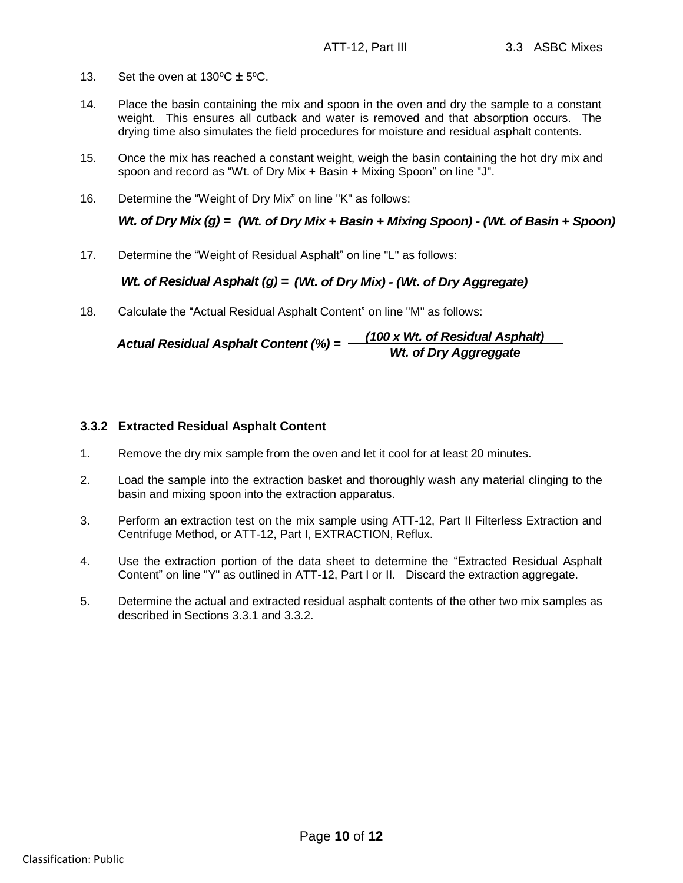- 13. Set the oven at  $130^{\circ}C \pm 5^{\circ}C$ .
- 14. Place the basin containing the mix and spoon in the oven and dry the sample to a constant weight. This ensures all cutback and water is removed and that absorption occurs. The drying time also simulates the field procedures for moisture and residual asphalt contents.
- 15. Once the mix has reached a constant weight, weigh the basin containing the hot dry mix and spoon and record as "Wt. of Dry Mix + Basin + Mixing Spoon" on line "J".
- 16. Determine the "Weight of Dry Mix" on line "K" as follows:

*Wt. of Dry Mix (g) = (Wt. of Dry Mix + Basin + Mixing Spoon) - (Wt. of Basin + Spoon)*

17. Determine the "Weight of Residual Asphalt" on line "L" as follows:

#### *Wt. of Residual Asphalt (g) = (Wt. of Dry Mix) - (Wt. of Dry Aggregate)*

18. Calculate the "Actual Residual Asphalt Content" on line "M" as follows:

Actual Residual Asphalt Content (%) = 
$$
\frac{(100 \times Wt. \text{ of Residual Asphalt})}{Wt. \text{ of Dry Aggreggate}}
$$

#### **3.3.2 Extracted Residual Asphalt Content**

- 1. Remove the dry mix sample from the oven and let it cool for at least 20 minutes.
- 2. Load the sample into the extraction basket and thoroughly wash any material clinging to the basin and mixing spoon into the extraction apparatus.
- 3. Perform an extraction test on the mix sample using ATT-12, Part II Filterless Extraction and Centrifuge Method, or ATT-12, Part I, EXTRACTION, Reflux.
- 4. Use the extraction portion of the data sheet to determine the "Extracted Residual Asphalt Content" on line "Y" as outlined in ATT-12, Part I or II. Discard the extraction aggregate.
- 5. Determine the actual and extracted residual asphalt contents of the other two mix samples as described in Sections 3.3.1 and 3.3.2.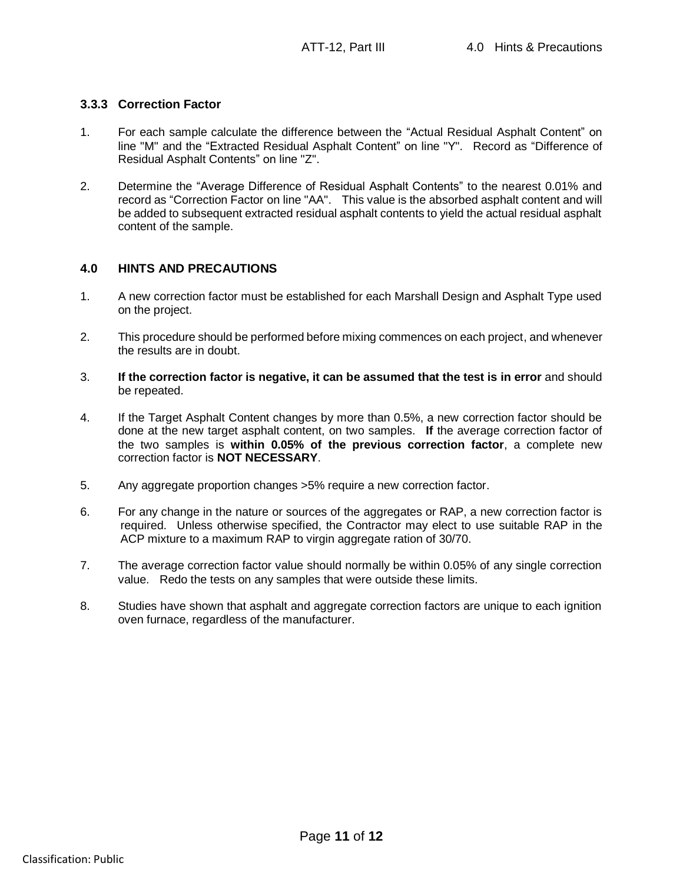#### **3.3.3 Correction Factor**

- 1. For each sample calculate the difference between the "Actual Residual Asphalt Content" on line "M" and the "Extracted Residual Asphalt Content" on line "Y". Record as "Difference of Residual Asphalt Contents" on line "Z".
- 2. Determine the "Average Difference of Residual Asphalt Contents" to the nearest 0.01% and record as "Correction Factor on line "AA". This value is the absorbed asphalt content and will be added to subsequent extracted residual asphalt contents to yield the actual residual asphalt content of the sample.

#### **4.0 HINTS AND PRECAUTIONS**

- 1. A new correction factor must be established for each Marshall Design and Asphalt Type used on the project.
- 2. This procedure should be performed before mixing commences on each project, and whenever the results are in doubt.
- 3. **If the correction factor is negative, it can be assumed that the test is in error** and should be repeated.
- 4. If the Target Asphalt Content changes by more than 0.5%, a new correction factor should be done at the new target asphalt content, on two samples. **If** the average correction factor of the two samples is **within 0.05% of the previous correction factor**, a complete new correction factor is **NOT NECESSARY**.
- 5. Any aggregate proportion changes >5% require a new correction factor.
- 6. For any change in the nature or sources of the aggregates or RAP, a new correction factor is required. Unless otherwise specified, the Contractor may elect to use suitable RAP in the ACP mixture to a maximum RAP to virgin aggregate ration of 30/70.
- 7. The average correction factor value should normally be within 0.05% of any single correction value. Redo the tests on any samples that were outside these limits.
- 8. Studies have shown that asphalt and aggregate correction factors are unique to each ignition oven furnace, regardless of the manufacturer.